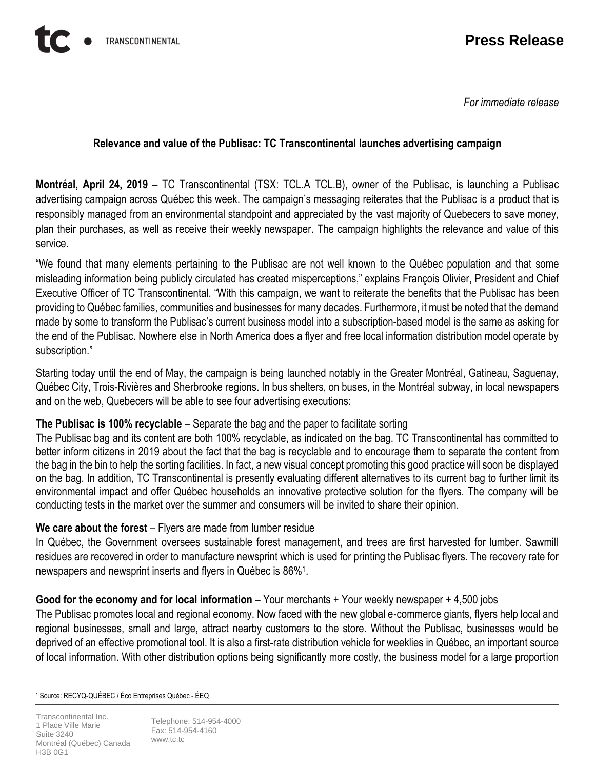*For immediate release*

## **Relevance and value of the Publisac: TC Transcontinental launches advertising campaign**

**Montréal, April 24, 2019** – TC Transcontinental (TSX: TCL.A TCL.B), owner of the Publisac, is launching a Publisac advertising campaign across Québec this week. The campaign's messaging reiterates that the Publisac is a product that is responsibly managed from an environmental standpoint and appreciated by the vast majority of Quebecers to save money, plan their purchases, as well as receive their weekly newspaper. The campaign highlights the relevance and value of this service.

"We found that many elements pertaining to the Publisac are not well known to the Québec population and that some misleading information being publicly circulated has created misperceptions," explains François Olivier, President and Chief Executive Officer of TC Transcontinental. "With this campaign, we want to reiterate the benefits that the Publisac has been providing to Québec families, communities and businesses for many decades. Furthermore, it must be noted that the demand made by some to transform the Publisac's current business model into a subscription-based model is the same as asking for the end of the Publisac. Nowhere else in North America does a flyer and free local information distribution model operate by subscription."

Starting today until the end of May, the campaign is being launched notably in the Greater Montréal, Gatineau, Saguenay, Québec City, Trois-Rivières and Sherbrooke regions. In bus shelters, on buses, in the Montréal subway, in local newspapers and on the web, Quebecers will be able to see four advertising executions:

### **The Publisac is 100% recyclable** – Separate the bag and the paper to facilitate sorting

The Publisac bag and its content are both 100% recyclable, as indicated on the bag. TC Transcontinental has committed to better inform citizens in 2019 about the fact that the bag is recyclable and to encourage them to separate the content from the bag in the bin to help the sorting facilities. In fact, a new visual concept promoting this good practice will soon be displayed on the bag. In addition, TC Transcontinental is presently evaluating different alternatives to its current bag to further limit its environmental impact and offer Québec households an innovative protective solution for the flyers. The company will be conducting tests in the market over the summer and consumers will be invited to share their opinion.

# **We care about the forest** – Flyers are made from lumber residue

In Québec, the Government oversees sustainable forest management, and trees are first harvested for lumber. Sawmill residues are recovered in order to manufacture newsprint which is used for printing the Publisac flyers. The recovery rate for newspapers and newsprint inserts and flyers in Québec is 86%<sup>1</sup> .

# **Good for the economy and for local information** – Your merchants + Your weekly newspaper + 4,500 jobs

The Publisac promotes local and regional economy. Now faced with the new global e-commerce giants, flyers help local and regional businesses, small and large, attract nearby customers to the store. Without the Publisac, businesses would be deprived of an effective promotional tool. It is also a first-rate distribution vehicle for weeklies in Québec, an important source of local information. With other distribution options being significantly more costly, the business model for a large proportion

Telephone: 514-954-4000 Fax: 514-954-4160 [www.tc.tc](https://tctranscontinental.com/)

 $\overline{a}$ <sup>1</sup> Source: RECYQ-QUÉBEC / Éco Entreprises Québec - ÉEQ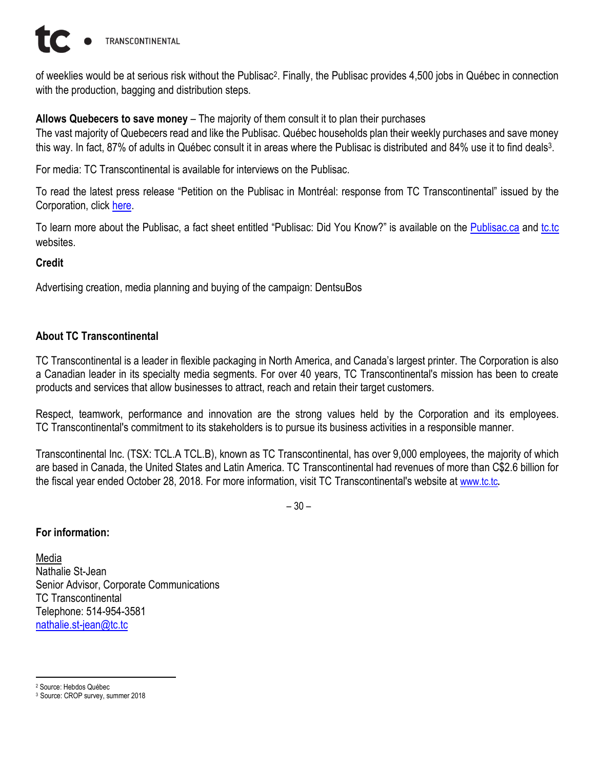

of weeklies would be at serious risk without the Publisac<sup>2</sup>. Finally, the Publisac provides 4,500 jobs in Québec in connection with the production, bagging and distribution steps.

**Allows Quebecers to save money** – The majority of them consult it to plan their purchases

The vast majority of Quebecers read and like the Publisac. Québec households plan their weekly purchases and save money this way. In fact, 87% of adults in Québec consult it in areas where the Publisac is distributed and 84% use it to find deals<sup>3</sup>.

For media: TC Transcontinental is available for interviews on the Publisac.

To read the latest press release "Petition on the Publisac in Montréal: response from TC Transcontinental" issued by the Corporation, click [here.](https://tctranscontinental.com/company-overview/news-room/press-releases/petition-publisac-montreal-response-tc-transcontinental)

To learn more about the Publisac, a fact sheet entitled "Publisac: Did You Know?" is available on the [Publisac.ca](https://www.publisac.ca/en/) and [tc.tc](http://www.tctranscontinental.com/) websites.

#### **Credit**

Advertising creation, media planning and buying of the campaign: DentsuBos

### **About TC Transcontinental**

TC Transcontinental is a leader in flexible packaging in North America, and Canada's largest printer. The Corporation is also a Canadian leader in its specialty media segments. For over 40 years, TC Transcontinental's mission has been to create products and services that allow businesses to attract, reach and retain their target customers.

Respect, teamwork, performance and innovation are the strong values held by the Corporation and its employees. TC Transcontinental's commitment to its stakeholders is to pursue its business activities in a responsible manner.

Transcontinental Inc. (TSX: TCL.A TCL.B), known as TC Transcontinental, has over 9,000 employees, the majority of which are based in Canada, the United States and Latin America. TC Transcontinental had revenues of more than C\$2.6 billion for the fiscal year ended October 28, 2018. For more information, visit TC Transcontinental's website at [www.tc.tc](https://tctranscontinental.com/).

– 30 –

#### **For information:**

Media Nathalie St-Jean Senior Advisor, Corporate Communications TC Transcontinental Telephone: 514-954-3581 [nathalie.st-jean@tc.tc](mailto:nathalie.st-jean@tc.tc)

 $\overline{a}$ <sup>2</sup> Source: Hebdos Québec

<sup>3</sup> Source: CROP survey, summer 2018